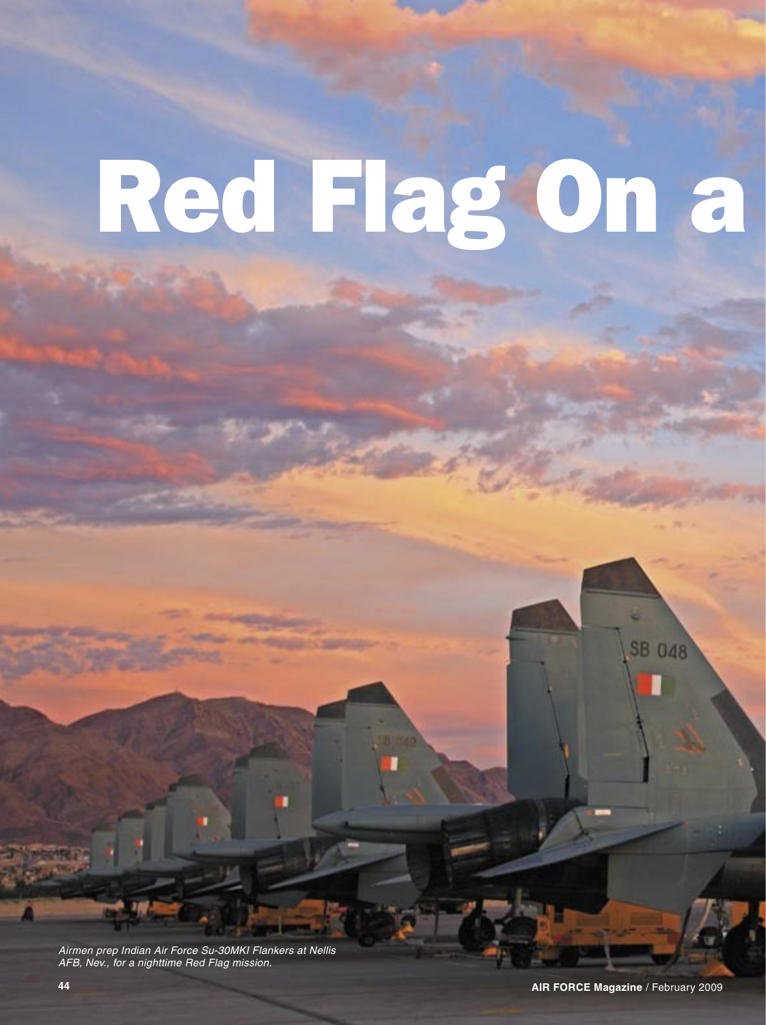## Red Flag On a

Airmen prep Indian Air Force Su-30MKI Flankers at Nellis AFB, Nev., for a nighttime Red Flag mission.

**SB 048**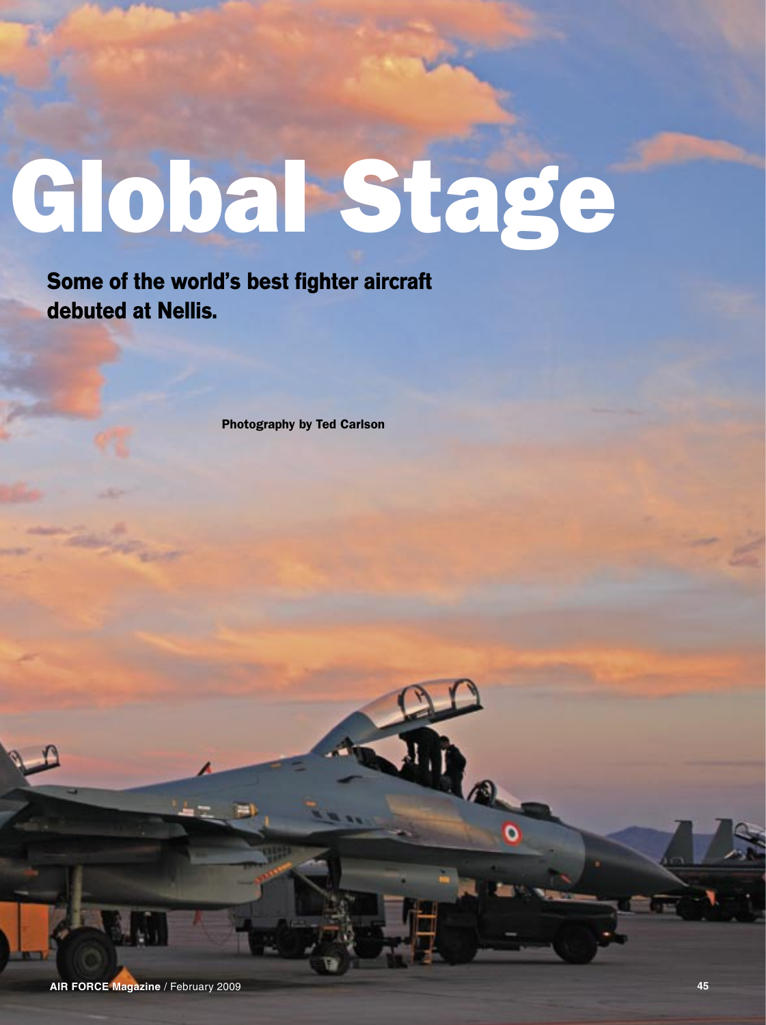## Global Stage

**Some of the world's best fighter aircraft debuted at Nellis.**

Photography by Ted Carlson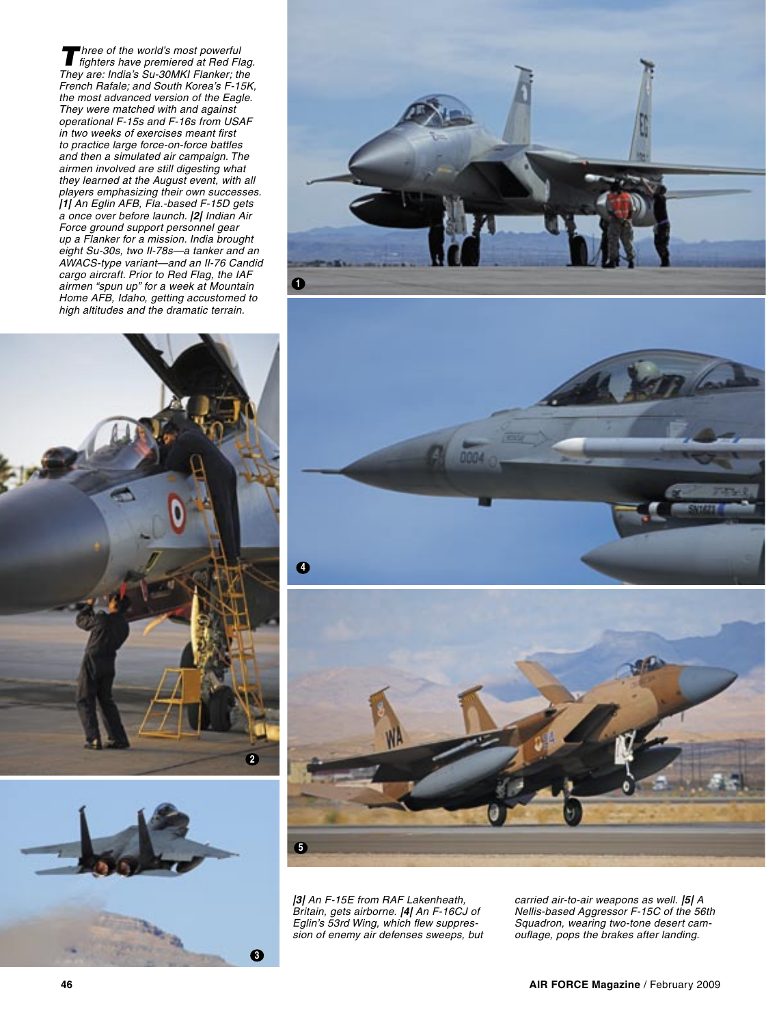Three of the world's most powerful<br>fighters have premiered at Red Flag. They are: India's Su-30MKI Flanker; the French Rafale; and South Korea's F-15K, the most advanced version of the Eagle. They were matched with and against operational F-15s and F-16s from USAF in two weeks of exercises meant first to practice large force-on-force battles and then a simulated air campaign. The airmen involved are still digesting what they learned at the August event, with all players emphasizing their own successes. **|1|** An Eglin AFB, Fla.-based F-15D gets a once over before launch. **|2|** Indian Air Force ground support personnel gear up a Flanker for a mission. India brought eight Su-30s, two Il-78s—a tanker and an AWACS-type variant—and an Il-76 Candid cargo aircraft. Prior to Red Flag, the IAF airmen "spun up" for a week at Mountain Home AFB, Idaho, getting accustomed to high altitudes and the dramatic terrain.











**|3|** An F-15E from RAF Lakenheath, Britain, gets airborne. **|4|** An F-16CJ of Eglin's 53rd Wing, which flew suppression of enemy air defenses sweeps, but carried air-to-air weapons as well. **|5|** A Nellis-based Aggressor F-15C of the 56th Squadron, wearing two-tone desert camouflage, pops the brakes after landing.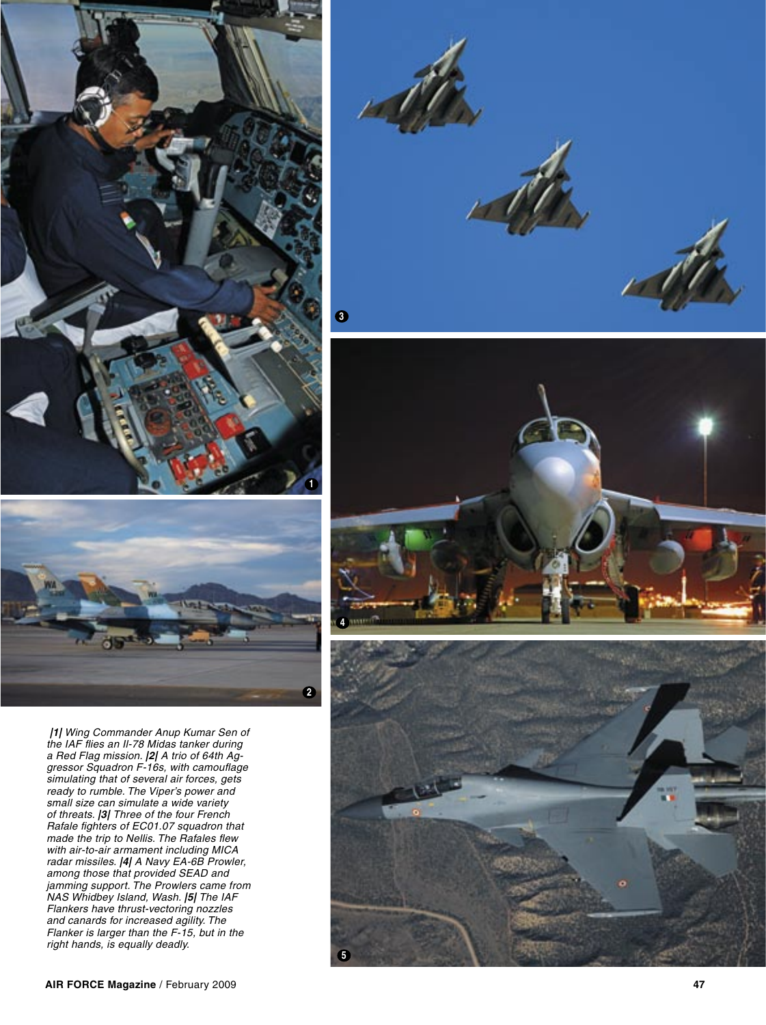



**|1|** Wing Commander Anup Kumar Sen of the IAF flies an Il-78 Midas tanker during a Red Flag mission. **|2|** A trio of 64th Aggressor Squadron F-16s, with camouflage simulating that of several air forces, gets ready to rumble. The Viper's power and small size can simulate a wide variety of threats. **|3|** Three of the four French Rafale fighters of EC01.07 squadron that made the trip to Nellis. The Rafales flew with air-to-air armament including MICA radar missiles. **|4|** A Navy EA-6B Prowler, among those that provided SEAD and jamming support. The Prowlers came from NAS Whidbey Island, Wash. **|5|** The IAF Flankers have thrust-vectoring nozzles and canards for increased agility. The Flanker is larger than the F-15, but in the right hands, is equally deadly.





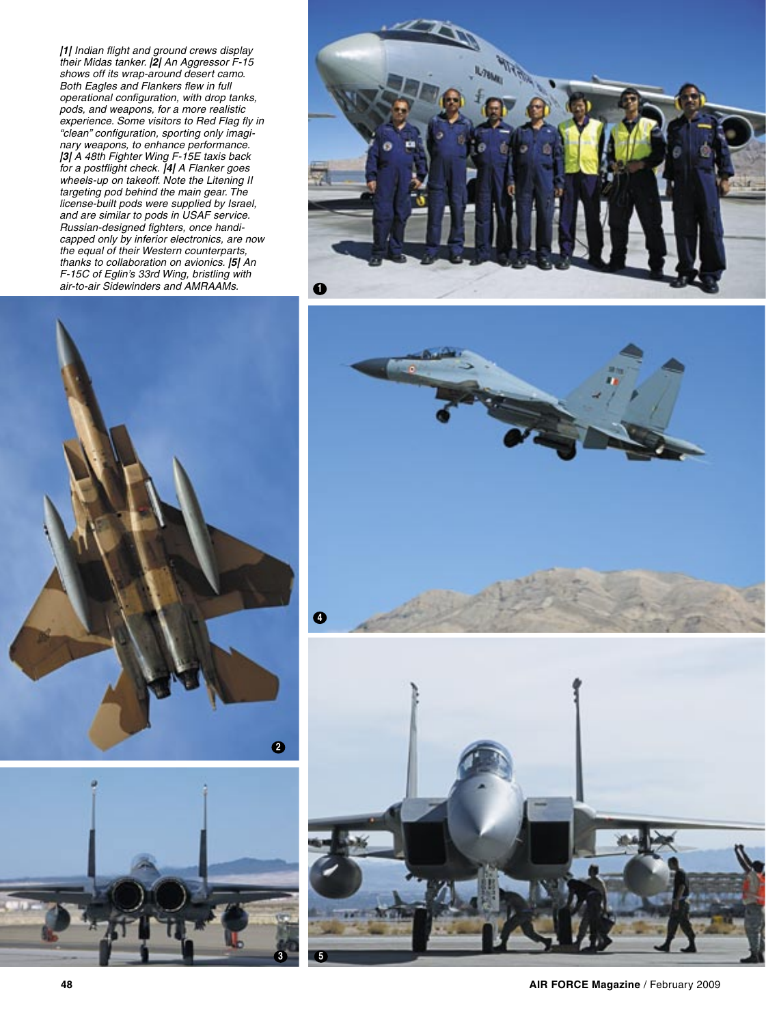**|1|** Indian flight and ground crews display their Midas tanker. **|2|** An Aggressor F-15 shows off its wrap-around desert camo. Both Eagles and Flankers flew in full operational configuration, with drop tanks, pods, and weapons, for a more realistic experience. Some visitors to Red Flag fly in "clean" configuration, sporting only imaginary weapons, to enhance performance. **|3|** A 48th Fighter Wing F-15E taxis back for a postflight check. **|4|** A Flanker goes wheels-up on takeoff. Note the Litening II targeting pod behind the main gear. The license-built pods were supplied by Israel, and are similar to pods in USAF service. Russian-designed fighters, once handicapped only by inferior electronics, are now the equal of their Western counterparts, thanks to collaboration on avionics. **|5|** An F-15C of Eglin's 33rd Wing, bristling with air-to-air Sidewinders and AMRAAMs. **1**









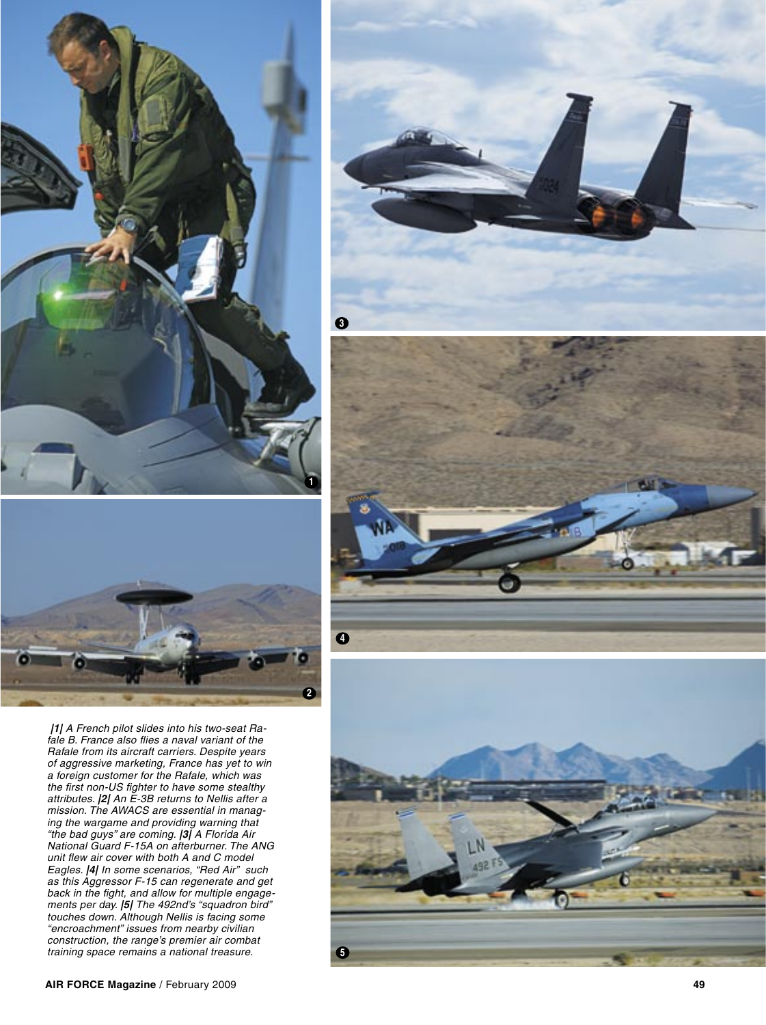



**|1|** A French pilot slides into his two-seat Rafale B. France also flies a naval variant of the Rafale from its aircraft carriers. Despite years of aggressive marketing, France has yet to win a foreign customer for the Rafale, which was the first non-US fighter to have some stealthy attributes. **|2|** An E-3B returns to Nellis after a mission. The AWACS are essential in managing the wargame and providing warning that "the bad guys" are coming. **|3|** A Florida Air National Guard F-15A on afterburner. The ANG unit flew air cover with both A and C model Eagles. **|4|** In some scenarios, "Red Air" such as this Aggressor F-15 can regenerate and get back in the fight, and allow for multiple engagements per day. **|5|** The 492nd's "squadron bird" touches down. Although Nellis is facing some "encroachment" issues from nearby civilian construction, the range's premier air combat training space remains a national treasure.

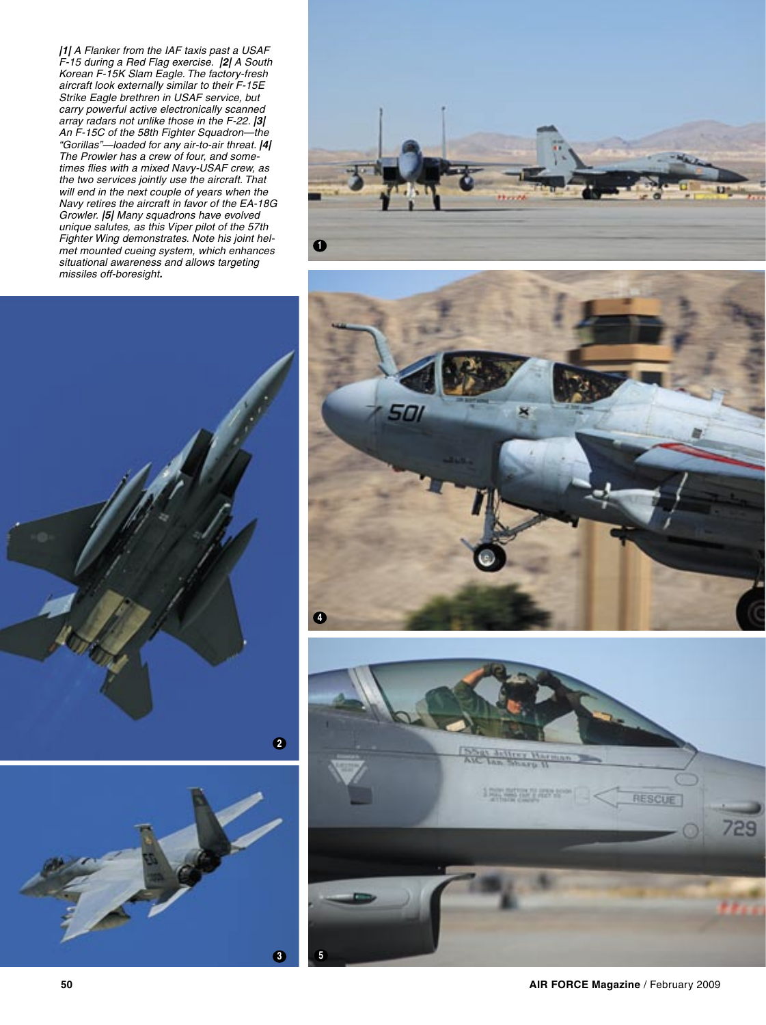**|1|** A Flanker from the IAF taxis past a USAF F-15 during a Red Flag exercise. **|2|** A South Korean F-15K Slam Eagle. The factory-fresh aircraft look externally similar to their F-15E Strike Eagle brethren in USAF service, but carry powerful active electronically scanned array radars not unlike those in the F-22. **|3|** An F-15C of the 58th Fighter Squadron—the "Gorillas"—loaded for any air-to-air threat. **|4|**  The Prowler has a crew of four, and sometimes flies with a mixed Navy-USAF crew, as the two services jointly use the aircraft. That will end in the next couple of years when the Navy retires the aircraft in favor of the EA-18G Growler. **|5|** Many squadrons have evolved unique salutes, as this Viper pilot of the 57th Fighter Wing demonstrates. Note his joint helmet mounted cueing system, which enhances situational awareness and allows targeting missiles off-boresight**.**